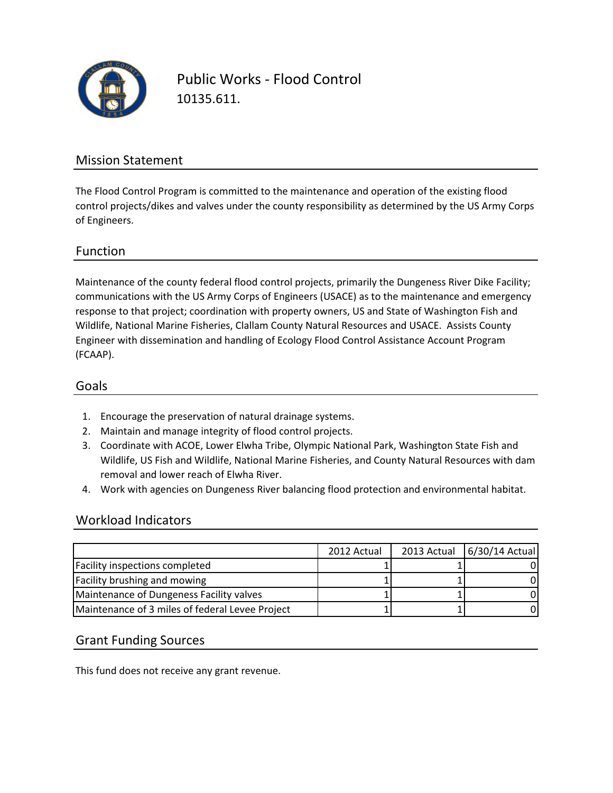

Public Works - Flood Control 10135.611.

### Mission Statement

The Flood Control Program is committed to the maintenance and operation of the existing flood control projects/dikes and valves under the county responsibility as determined by the US Army Corps of Engineers.

#### Function

Maintenance of the county federal flood control projects, primarily the Dungeness River Dike Facility; communications with the US Army Corps of Engineers (USACE) as to the maintenance and emergency response to that project; coordination with property owners, US and State of Washington Fish and Wildlife, National Marine Fisheries, Clallam County Natural Resources and USACE. Assists County Engineer with dissemination and handling of Ecology Flood Control Assistance Account Program (FCAAP).

#### Goals

- 1. Encourage the preservation of natural drainage systems.
- 2. Maintain and manage integrity of flood control projects.
- 3. Coordinate with ACOE, Lower Elwha Tribe, Olympic National Park, Washington State Fish and Wildlife, US Fish and Wildlife, National Marine Fisheries, and County Natural Resources with dam removal and lower reach of Elwha River.
- 4. Work with agencies on Dungeness River balancing flood protection and environmental habitat.

#### Workload Indicators

|                                                 | 2012 Actual | 2013 Actual 6/30/14 Actual |
|-------------------------------------------------|-------------|----------------------------|
| Facility inspections completed                  |             |                            |
| <b>Facility brushing and mowing</b>             |             |                            |
| Maintenance of Dungeness Facility valves        |             |                            |
| Maintenance of 3 miles of federal Levee Project |             |                            |

#### Grant Funding Sources

This fund does not receive any grant revenue.